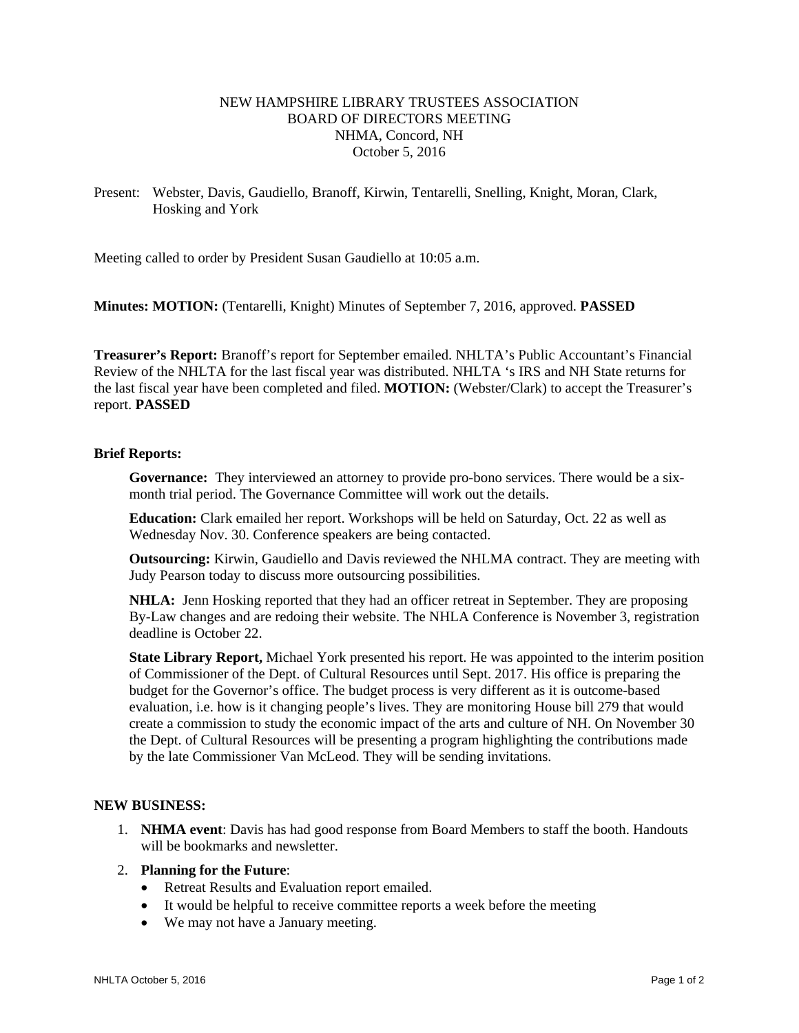# NEW HAMPSHIRE LIBRARY TRUSTEES ASSOCIATION BOARD OF DIRECTORS MEETING NHMA, Concord, NH October 5, 2016

Present: Webster, Davis, Gaudiello, Branoff, Kirwin, Tentarelli, Snelling, Knight, Moran, Clark, Hosking and York

Meeting called to order by President Susan Gaudiello at 10:05 a.m.

**Minutes: MOTION:** (Tentarelli, Knight) Minutes of September 7, 2016, approved. **PASSED**

**Treasurer's Report:** Branoff's report for September emailed. NHLTA's Public Accountant's Financial Review of the NHLTA for the last fiscal year was distributed. NHLTA 's IRS and NH State returns for the last fiscal year have been completed and filed. **MOTION:** (Webster/Clark) to accept the Treasurer's report. **PASSED**

## **Brief Reports:**

**Governance:** They interviewed an attorney to provide pro-bono services. There would be a sixmonth trial period. The Governance Committee will work out the details.

**Education:** Clark emailed her report. Workshops will be held on Saturday, Oct. 22 as well as Wednesday Nov. 30. Conference speakers are being contacted.

**Outsourcing:** Kirwin, Gaudiello and Davis reviewed the NHLMA contract. They are meeting with Judy Pearson today to discuss more outsourcing possibilities.

**NHLA:** Jenn Hosking reported that they had an officer retreat in September. They are proposing By-Law changes and are redoing their website. The NHLA Conference is November 3, registration deadline is October 22.

**State Library Report,** Michael York presented his report. He was appointed to the interim position of Commissioner of the Dept. of Cultural Resources until Sept. 2017. His office is preparing the budget for the Governor's office. The budget process is very different as it is outcome-based evaluation, i.e. how is it changing people's lives. They are monitoring House bill 279 that would create a commission to study the economic impact of the arts and culture of NH. On November 30 the Dept. of Cultural Resources will be presenting a program highlighting the contributions made by the late Commissioner Van McLeod. They will be sending invitations.

## **NEW BUSINESS:**

1. **NHMA event**: Davis has had good response from Board Members to staff the booth. Handouts will be bookmarks and newsletter.

#### 2. **Planning for the Future**:

- Retreat Results and Evaluation report emailed.
- It would be helpful to receive committee reports a week before the meeting
- We may not have a January meeting.